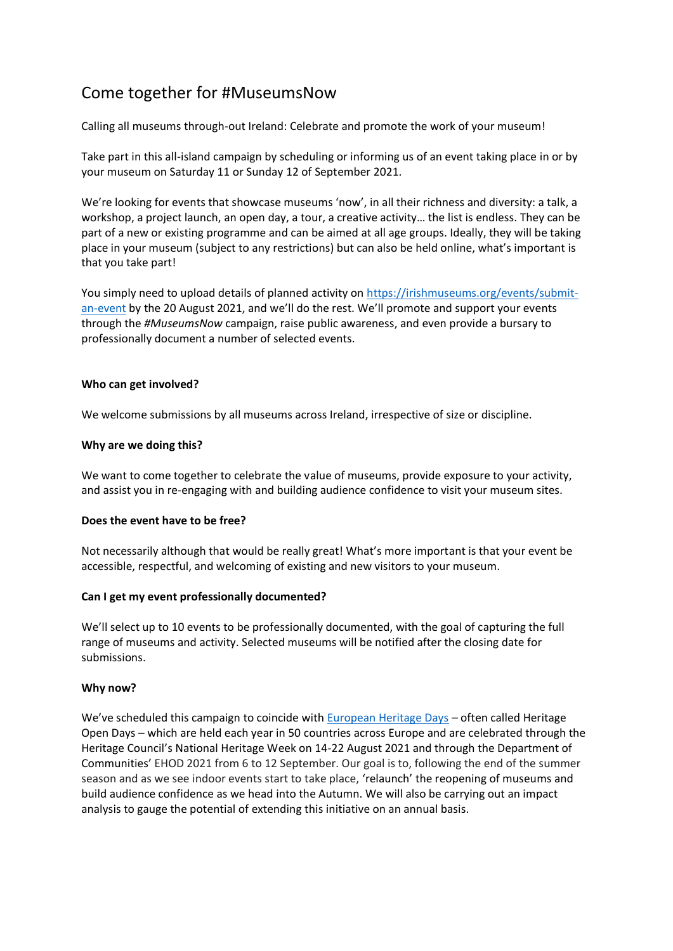# Come together for #MuseumsNow

Calling all museums through-out Ireland: Celebrate and promote the work of your museum!

Take part in this all-island campaign by scheduling or informing us of an event taking place in or by your museum on Saturday 11 or Sunday 12 of September 2021.

We're looking for events that showcase museums 'now', in all their richness and diversity: a talk, a workshop, a project launch, an open day, a tour, a creative activity… the list is endless. They can be part of a new or existing programme and can be aimed at all age groups. Ideally, they will be taking place in your museum (subject to any restrictions) but can also be held online, what's important is that you take part!

You simply need to upload details of planned activity on [https://irishmuseums.org/events/submit](https://irishmuseums.org/events/submit-an-event)[an-event](https://irishmuseums.org/events/submit-an-event) by the 20 August 2021, and we'll do the rest. We'll promote and support your events through the *#MuseumsNow* campaign, raise public awareness, and even provide a bursary to professionally document a number of selected events.

### **Who can get involved?**

We welcome submissions by all museums across Ireland, irrespective of size or discipline.

## **Why are we doing this?**

We want to come together to celebrate the value of museums, provide exposure to your activity, and assist you in re-engaging with and building audience confidence to visit your museum sites.

### **Does the event have to be free?**

Not necessarily although that would be really great! What's more important is that your event be accessible, respectful, and welcoming of existing and new visitors to your museum.

### **Can I get my event professionally documented?**

We'll select up to 10 events to be professionally documented, with the goal of capturing the full range of museums and activity. Selected museums will be notified after the closing date for submissions.

### **Why now?**

We've scheduled this campaign to coincide with **[European Heritage Days](https://www.europeanheritagedays.com/EHD-Programme/About/About-Us)** – often called Heritage Open Days – which are held each year in 50 countries across Europe and are celebrated through the Heritage Council's National Heritage Week on 14-22 August 2021 and through the Department of Communities' EHOD 2021 from 6 to 12 September. Our goal is to, following the end of the summer season and as we see indoor events start to take place, 'relaunch' the reopening of museums and build audience confidence as we head into the Autumn. We will also be carrying out an impact analysis to gauge the potential of extending this initiative on an annual basis.